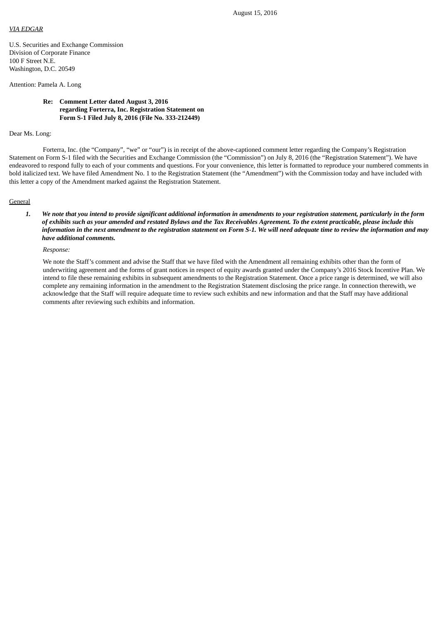#### *VIA EDGAR*

U.S. Securities and Exchange Commission Division of Corporate Finance 100 F Street N.E. Washington, D.C. 20549

### Attention: Pamela A. Long

**Re: Comment Letter dated August 3, 2016 regarding Forterra, Inc. Registration Statement on Form S-1 Filed July 8, 2016 (File No. 333-212449)**

# Dear Ms. Long:

Forterra, Inc. (the "Company", "we" or "our") is in receipt of the above-captioned comment letter regarding the Company's Registration Statement on Form S-1 filed with the Securities and Exchange Commission (the "Commission") on July 8, 2016 (the "Registration Statement"). We have endeavored to respond fully to each of your comments and questions. For your convenience, this letter is formatted to reproduce your numbered comments in bold italicized text. We have filed Amendment No. 1 to the Registration Statement (the "Amendment") with the Commission today and have included with this letter a copy of the Amendment marked against the Registration Statement.

#### **General**

1. We note that you intend to provide significant additional information in amendments to your registration statement, particularly in the form of exhibits such as your amended and restated Bylaws and the Tax Receivables Agreement. To the extent practicable, please include this information in the next amendment to the registration statement on Form S-1. We will need adequate time to review the information and may *have additional comments.*

*Response:*

We note the Staff's comment and advise the Staff that we have filed with the Amendment all remaining exhibits other than the form of underwriting agreement and the forms of grant notices in respect of equity awards granted under the Company's 2016 Stock Incentive Plan. We intend to file these remaining exhibits in subsequent amendments to the Registration Statement. Once a price range is determined, we will also complete any remaining information in the amendment to the Registration Statement disclosing the price range. In connection therewith, we acknowledge that the Staff will require adequate time to review such exhibits and new information and that the Staff may have additional comments after reviewing such exhibits and information.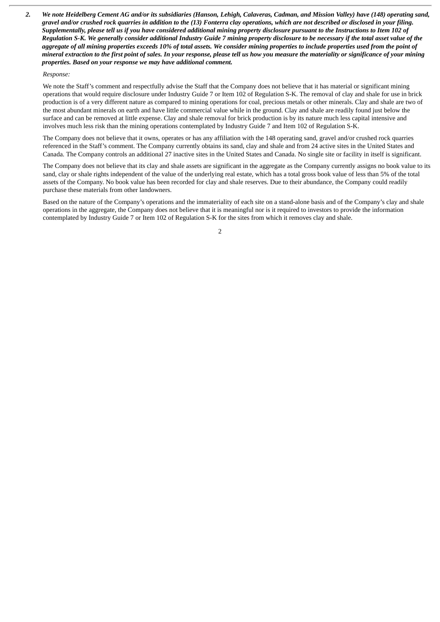2. We note Heidelberg Cement AG and/or its subsidiaries (Hanson, Lehigh, Calaveras, Cadman, and Mission Valley) have (148) operating sand, aravel and/or crushed rock auarries in addition to the (13) Fonterra clay operations, which are not described or disclosed in your filing. Supplementally, please tell us if you have considered additional mining property disclosure pursuant to the Instructions to Item 102 of Requiation S-K. We generally consider additional Industry Guide 7 mining property disclosure to be necessary if the total asset value of the aggregate of all mining properties exceeds 10% of total assets. We consider mining properties to include properties used from the point of mineral extraction to the first point of sales. In your response, please tell us how you measure the materiality or significance of your mining *properties. Based on your response we may have additional comment.*

### *Response:*

We note the Staff's comment and respectfully advise the Staff that the Company does not believe that it has material or significant mining operations that would require disclosure under Industry Guide 7 or Item 102 of Regulation S-K. The removal of clay and shale for use in brick production is of a very different nature as compared to mining operations for coal, precious metals or other minerals. Clay and shale are two of the most abundant minerals on earth and have little commercial value while in the ground. Clay and shale are readily found just below the surface and can be removed at little expense. Clay and shale removal for brick production is by its nature much less capital intensive and involves much less risk than the mining operations contemplated by Industry Guide 7 and Item 102 of Regulation S-K.

The Company does not believe that it owns, operates or has any affiliation with the 148 operating sand, gravel and/or crushed rock quarries referenced in the Staff's comment. The Company currently obtains its sand, clay and shale and from 24 active sites in the United States and Canada. The Company controls an additional 27 inactive sites in the United States and Canada. No single site or facility in itself is significant.

The Company does not believe that its clay and shale assets are significant in the aggregate as the Company currently assigns no book value to its sand, clay or shale rights independent of the value of the underlying real estate, which has a total gross book value of less than 5% of the total assets of the Company. No book value has been recorded for clay and shale reserves. Due to their abundance, the Company could readily purchase these materials from other landowners.

Based on the nature of the Company's operations and the immateriality of each site on a stand-alone basis and of the Company's clay and shale operations in the aggregate, the Company does not believe that it is meaningful nor is it required to investors to provide the information contemplated by Industry Guide 7 or Item 102 of Regulation S-K for the sites from which it removes clay and shale.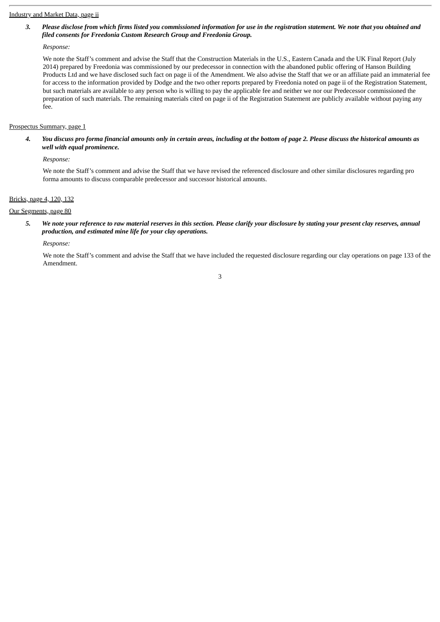#### Industry and Market Data, page ii

# 3. Please disclose from which firms listed you commissioned information for use in the registration statement. We note that you obtained and *filed consents for Freedonia Custom Research Group and Freedonia Group.*

### *Response:*

We note the Staff's comment and advise the Staff that the Construction Materials in the U.S., Eastern Canada and the UK Final Report (July 2014) prepared by Freedonia was commissioned by our predecessor in connection with the abandoned public offering of Hanson Building Products Ltd and we have disclosed such fact on page ii of the Amendment. We also advise the Staff that we or an affiliate paid an immaterial fee for access to the information provided by Dodge and the two other reports prepared by Freedonia noted on page ii of the Registration Statement, but such materials are available to any person who is willing to pay the applicable fee and neither we nor our Predecessor commissioned the preparation of such materials. The remaining materials cited on page ii of the Registration Statement are publicly available without paying any fee.

### Prospectus Summary, page 1

4. You discuss pro forma financial amounts only in certain areas, including at the bottom of page 2. Please discuss the historical amounts as *well with equal prominence.*

*Response:*

We note the Staff's comment and advise the Staff that we have revised the referenced disclosure and other similar disclosures regarding pro forma amounts to discuss comparable predecessor and successor historical amounts.

# Bricks, page 4, 120, 132

### Our Segments, page 80

5. We note your reference to raw material reserves in this section. Please clarify your disclosure by stating your present clay reserves, annual *production, and estimated mine life for your clay operations.*

*Response:*

We note the Staff's comment and advise the Staff that we have included the requested disclosure regarding our clay operations on page 133 of the Amendment.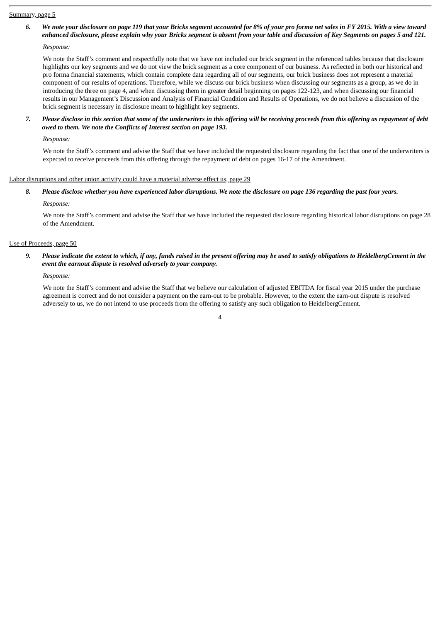### Summary, page 5

6. We note your disclosure on page 119 that your Bricks segment accounted for 8% of your pro forma net sales in FY 2015. With a view toward enhanced disclosure, please explain why your Bricks segment is absent from your table and discussion of Key Segments on pages 5 and 121.

*Response:*

We note the Staff's comment and respectfully note that we have not included our brick segment in the referenced tables because that disclosure highlights our key segments and we do not view the brick segment as a core component of our business. As reflected in both our historical and pro forma financial statements, which contain complete data regarding all of our segments, our brick business does not represent a material component of our results of operations. Therefore, while we discuss our brick business when discussing our segments as a group, as we do in introducing the three on page 4, and when discussing them in greater detail beginning on pages 122-123, and when discussing our financial results in our Management's Discussion and Analysis of Financial Condition and Results of Operations, we do not believe a discussion of the brick segment is necessary in disclosure meant to highlight key segments.

# 7. Please disclose in this section that some of the underwriters in this offering will be receiving proceeds from this offering as repayment of debt *owed to them. We note the Conflicts of Interest section on page 193.*

*Response:*

We note the Staff's comment and advise the Staff that we have included the requested disclosure regarding the fact that one of the underwriters is expected to receive proceeds from this offering through the repayment of debt on pages 16-17 of the Amendment.

### Labor disruptions and other union activity could have a material adverse effect us, page 29

8. Please disclose whether you have experienced labor disruptions. We note the disclosure on page 136 regarding the past four years. *Response:*

We note the Staff's comment and advise the Staff that we have included the requested disclosure regarding historical labor disruptions on page 28 of the Amendment.

#### Use of Proceeds, page 50

9. Please indicate the extent to which, if any, funds raised in the present offering may be used to satisfy obligations to HeidelbergCement in the *event the earnout dispute is resolved adversely to your company.*

#### *Response:*

We note the Staff's comment and advise the Staff that we believe our calculation of adjusted EBITDA for fiscal year 2015 under the purchase agreement is correct and do not consider a payment on the earn-out to be probable. However, to the extent the earn-out dispute is resolved adversely to us, we do not intend to use proceeds from the offering to satisfy any such obligation to HeidelbergCement.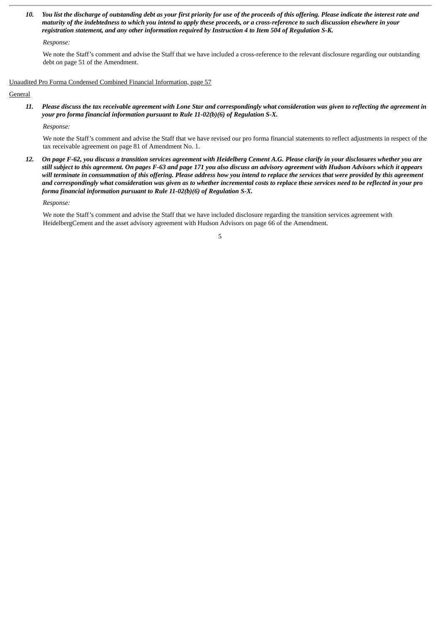10. You list the discharge of outstanding debt as your first priority for use of the proceeds of this offering. Please indicate the interest rate and maturity of the indebtedness to which you intend to apply these proceeds, or a cross-reference to such discussion elsewhere in your *registration statement, and any other information required by Instruction 4 to Item 504 of Regulation S-K.*

*Response:*

We note the Staff's comment and advise the Staff that we have included a cross-reference to the relevant disclosure regarding our outstanding debt on page 51 of the Amendment.

Unaudited Pro Forma Condensed Combined Financial Information, page 57

# **General**

11. Please discuss the tax receivable agreement with Lone Star and correspondingly what consideration was given to reflecting the agreement in *your pro forma financial information pursuant to Rule 11-02(b)(6) of Regulation S-X.*

*Response:*

We note the Staff's comment and advise the Staff that we have revised our pro forma financial statements to reflect adjustments in respect of the tax receivable agreement on page 81 of Amendment No. 1.

12. On page F-62, you discuss a transition services agreement with Heidelberg Cement A.G. Please clarify in your disclosures whether you are still subject to this agreement. On pages F-63 and page 171 you also discuss an advisory agreement with Hudson Advisors which it appears will terminate in consummation of this offering. Please address how you intend to replace the services that were provided by this agreement and correspondingly what consideration was given as to whether incremental costs to replace these services need to be reflected in your pro *forma financial information pursuant to Rule 11-02(b)(6) of Regulation S-X.*

*Response:*

We note the Staff's comment and advise the Staff that we have included disclosure regarding the transition services agreement with HeidelbergCement and the asset advisory agreement with Hudson Advisors on page 66 of the Amendment.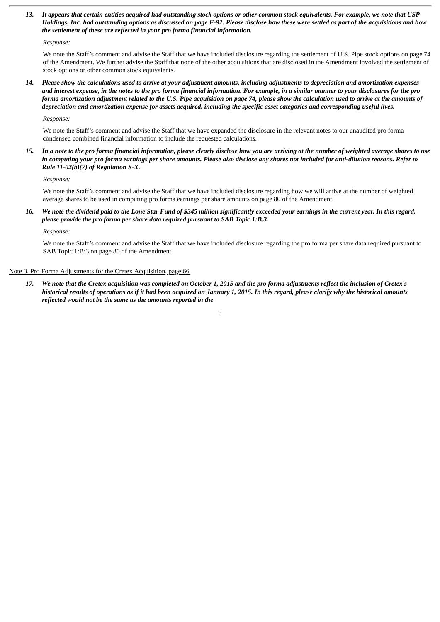13. It appears that certain entities acquired had outstanding stock options or other common stock equivalents. For example, we note that USP Holdings, Inc. had outstanding options as discussed on page F-92. Please disclose how these were settled as part of the acquisitions and how *the settlement of these are reflected in your pro forma financial information.*

#### *Response:*

We note the Staff's comment and advise the Staff that we have included disclosure regarding the settlement of U.S. Pipe stock options on page 74 of the Amendment. We further advise the Staff that none of the other acquisitions that are disclosed in the Amendment involved the settlement of stock options or other common stock equivalents.

14. Please show the calculations used to arrive at your adjustment amounts, including adjustments to depreciation and amortization expenses and interest expense, in the notes to the pro forma financial information. For example, in a similar manner to your disclosures for the pro forma amortization adjustment related to the U.S. Pipe acquisition on page 74, please show the calculation used to arrive at the amounts of depreciation and amortization expense for assets acquired, including the specific asset categories and corresponding useful lives.

*Response:*

We note the Staff's comment and advise the Staff that we have expanded the disclosure in the relevant notes to our unaudited pro forma condensed combined financial information to include the requested calculations.

15. In a note to the pro forma financial information, please clearly disclose how you are arriving at the number of weighted average shares to use in computing your pro forma earnings per share amounts. Please also disclose any shares not included for anti-dilution reasons. Refer to *Rule 11-02(b)(7) of Regulation S-X.*

*Response:*

We note the Staff's comment and advise the Staff that we have included disclosure regarding how we will arrive at the number of weighted average shares to be used in computing pro forma earnings per share amounts on page 80 of the Amendment.

16. We note the dividend paid to the Lone Star Fund of \$345 million significantly exceeded your earnings in the current year. In this regard, *please provide the pro forma per share data required pursuant to SAB Topic 1:B.3.*

*Response:*

We note the Staff's comment and advise the Staff that we have included disclosure regarding the pro forma per share data required pursuant to SAB Topic 1:B:3 on page 80 of the Amendment.

# Note 3. Pro Forma Adjustments for the Cretex Acquisition, page 66

17. We note that the Cretex acquisition was completed on October 1, 2015 and the pro forma adjustments reflect the inclusion of Cretex's historical results of operations as if it had been acquired on January 1, 2015. In this regard, please clarify why the historical amounts *reflected would not be the same as the amounts reported in the*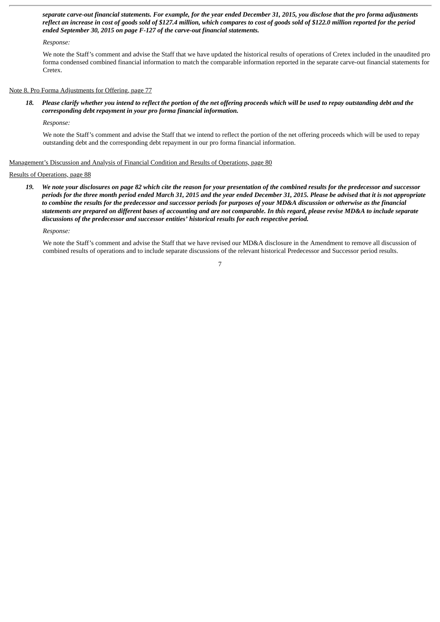separate carve-out financial statements. For example, for the year ended December 31, 2015, you disclose that the pro forma adjustments reflect an increase in cost of goods sold of \$127.4 million, which compares to cost of goods sold of \$122.0 million reported for the period *ended September 30, 2015 on page F-127 of the carve-out financial statements.*

### *Response:*

We note the Staff's comment and advise the Staff that we have updated the historical results of operations of Cretex included in the unaudited pro forma condensed combined financial information to match the comparable information reported in the separate carve-out financial statements for Cretex.

#### Note 8. Pro Forma Adjustments for Offering, page 77

18. Please clarify whether you intend to reflect the portion of the net offering proceeds which will be used to repay outstanding debt and the *corresponding debt repayment in your pro forma financial information.*

*Response:*

We note the Staff's comment and advise the Staff that we intend to reflect the portion of the net offering proceeds which will be used to repay outstanding debt and the corresponding debt repayment in our pro forma financial information.

#### Management's Discussion and Analysis of Financial Condition and Results of Operations, page 80

# Results of Operations, page 88

19. We note your disclosures on page 82 which cite the reason for your presentation of the combined results for the predecessor and successor periods for the three month period ended March 31, 2015 and the year ended December 31, 2015. Please be advised that it is not appropriate to combine the results for the predecessor and successor periods for purposes of your MD&A discussion or otherwise as the financial statements are prepared on different bases of accounting and are not comparable. In this regard, please revise MD&A to include separate *discussions of the predecessor and successor entities' historical results for each respective period.*

#### *Response:*

We note the Staff's comment and advise the Staff that we have revised our MD&A disclosure in the Amendment to remove all discussion of combined results of operations and to include separate discussions of the relevant historical Predecessor and Successor period results.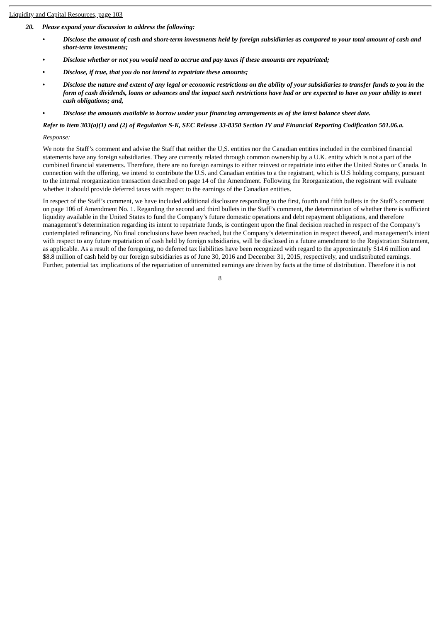### Liquidity and Capital Resources, page 103

- *20. Please expand your discussion to address the following:*
	- Disclose the amount of cash and short-term investments held by foreign subsidiaries as compared to your total amount of cash and *short-term investments;*
	- *• Disclose whether or not you would need to accrue and pay taxes if these amounts are repatriated;*
	- *• Disclose, if true, that you do not intend to repatriate these amounts;*
	- Disclose the nature and extent of any legal or economic restrictions on the ability of your subsidiaries to transfer funds to you in the form of cash dividends, loans or advances and the impact such restrictions have had or are expected to have on your ability to meet *cash obligations; and,*
	- Disclose the amounts available to borrow under your financing arrangements as of the latest balance sheet date.

# Refer to Item 303(a)(1) and (2) of Regulation S-K, SEC Release 33-8350 Section IV and Financial Reporting Codification 501.06.a.

### *Response:*

We note the Staff's comment and advise the Staff that neither the U,S. entities nor the Canadian entities included in the combined financial statements have any foreign subsidiaries. They are currently related through common ownership by a U.K. entity which is not a part of the combined financial statements. Therefore, there are no foreign earnings to either reinvest or repatriate into either the United States or Canada. In connection with the offering, we intend to contribute the U.S. and Canadian entities to a the registrant, which is U.S holding company, pursuant to the internal reorganization transaction described on page 14 of the Amendment. Following the Reorganization, the registrant will evaluate whether it should provide deferred taxes with respect to the earnings of the Canadian entities.

In respect of the Staff's comment, we have included additional disclosure responding to the first, fourth and fifth bullets in the Staff's comment on page 106 of Amendment No. 1. Regarding the second and third bullets in the Staff's comment, the determination of whether there is sufficient liquidity available in the United States to fund the Company's future domestic operations and debt repayment obligations, and therefore management's determination regarding its intent to repatriate funds, is contingent upon the final decision reached in respect of the Company's contemplated refinancing. No final conclusions have been reached, but the Company's determination in respect thereof, and management's intent with respect to any future repatriation of cash held by foreign subsidiaries, will be disclosed in a future amendment to the Registration Statement, as applicable. As a result of the foregoing, no deferred tax liabilities have been recognized with regard to the approximately \$14.6 million and \$8.8 million of cash held by our foreign subsidiaries as of June 30, 2016 and December 31, 2015, respectively, and undistributed earnings. Further, potential tax implications of the repatriation of unremitted earnings are driven by facts at the time of distribution. Therefore it is not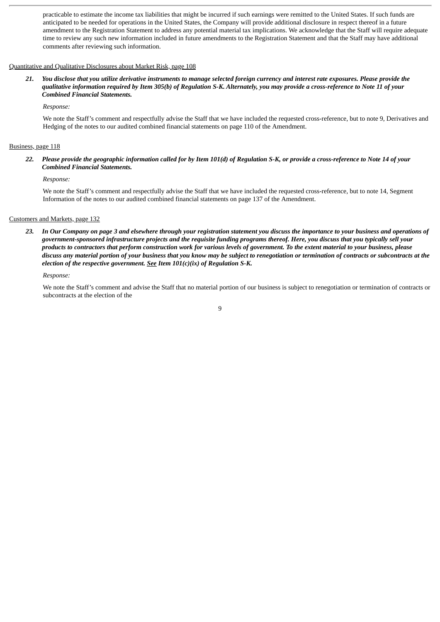practicable to estimate the income tax liabilities that might be incurred if such earnings were remitted to the United States. If such funds are anticipated to be needed for operations in the United States, the Company will provide additional disclosure in respect thereof in a future amendment to the Registration Statement to address any potential material tax implications. We acknowledge that the Staff will require adequate time to review any such new information included in future amendments to the Registration Statement and that the Staff may have additional comments after reviewing such information.

#### Quantitative and Qualitative Disclosures about Market Risk, page 108

21. You disclose that you utilize derivative instruments to manage selected foreign currency and interest rate exposures. Please provide the qualitative information required by Item 305(b) of Requlation S-K. Alternately, you may provide a cross-reference to Note 11 of your *Combined Financial Statements.*

*Response:*

We note the Staff's comment and respectfully advise the Staff that we have included the requested cross-reference, but to note 9, Derivatives and Hedging of the notes to our audited combined financial statements on page 110 of the Amendment.

#### Business, page 118

22. Please provide the geographic information called for by Item 101(d) of Regulation S-K, or provide a cross-reference to Note 14 of your *Combined Financial Statements.*

#### *Response:*

We note the Staff's comment and respectfully advise the Staff that we have included the requested cross-reference, but to note 14, Segment Information of the notes to our audited combined financial statements on page 137 of the Amendment.

#### Customers and Markets, page 132

23. In Our Company on page 3 and elsewhere through your registration statement you discuss the importance to your business and operations of government-sponsored infrastructure projects and the requisite funding programs thereof. Here, you discuss that you typically sell your products to contractors that perform construction work for various levels of government. To the extent material to your business, please discuss any material portion of your business that you know may be subject to renegotiation or termination of contracts or subcontracts at the *election of the respective government. See Item 101(c)(ix) of Regulation S-K.*

#### *Response:*

We note the Staff's comment and advise the Staff that no material portion of our business is subject to renegotiation or termination of contracts or subcontracts at the election of the

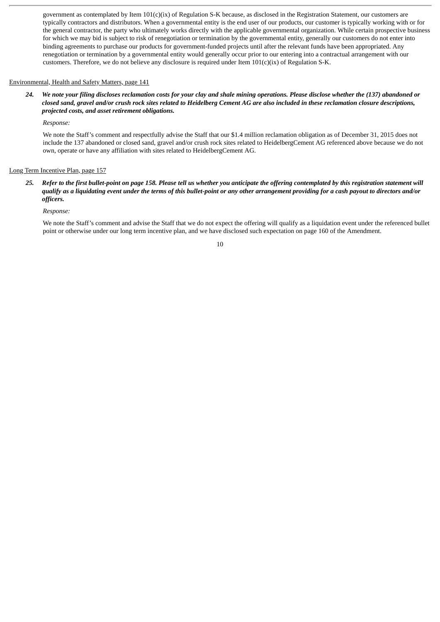government as contemplated by Item 101(c)(ix) of Regulation S-K because, as disclosed in the Registration Statement, our customers are typically contractors and distributors. When a governmental entity is the end user of our products, our customer is typically working with or for the general contractor, the party who ultimately works directly with the applicable governmental organization. While certain prospective business for which we may bid is subject to risk of renegotiation or termination by the governmental entity, generally our customers do not enter into binding agreements to purchase our products for government-funded projects until after the relevant funds have been appropriated. Any renegotiation or termination by a governmental entity would generally occur prior to our entering into a contractual arrangement with our customers. Therefore, we do not believe any disclosure is required under Item  $101(c)(ix)$  of Regulation S-K.

### Environmental, Health and Safety Matters, page 141

24. We note your filing discloses reclamation costs for your clay and shale mining operations. Please disclose whether the (137) abandoned or closed sand, gravel and/or crush rock sites related to Heidelberg Cement AG are also included in these reclamation closure descriptions, *projected costs, and asset retirement obligations.*

*Response:*

We note the Staff's comment and respectfully advise the Staff that our \$1.4 million reclamation obligation as of December 31, 2015 does not include the 137 abandoned or closed sand, gravel and/or crush rock sites related to HeidelbergCement AG referenced above because we do not own, operate or have any affiliation with sites related to HeidelbergCement AG.

# Long Term Incentive Plan, page 157

25. Refer to the first bullet-point on page 158. Please tell us whether you anticipate the offering contemplated by this registration statement will qualify as a liquidating event under the terms of this bullet-point or any other arrangement providing for a cash payout to directors and/or *officers.*

*Response:*

We note the Staff's comment and advise the Staff that we do not expect the offering will qualify as a liquidation event under the referenced bullet point or otherwise under our long term incentive plan, and we have disclosed such expectation on page 160 of the Amendment.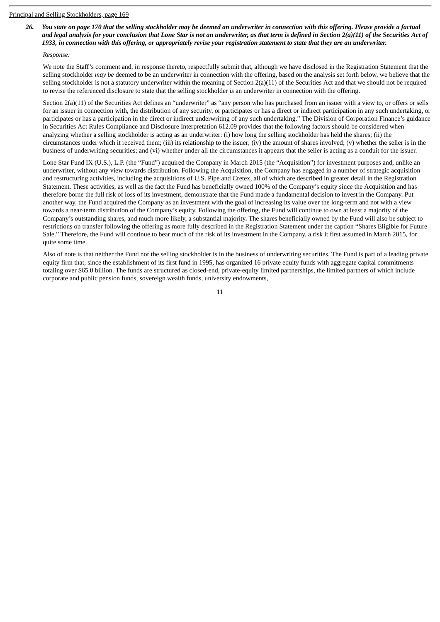26. You state on page 170 that the selling stockholder may be deemed an underwriter in connection with this offering. Please provide a factual and legal analysis for your conclusion that Lone Star is not an underwriter, as that term is defined in Section  $2(a)(11)$  of the Securities Act of 1933, in connection with this offering, or appropriately revise your registration statement to state that they are an underwriter.

### *Response:*

We note the Staff's comment and, in response thereto, respectfully submit that, although we have disclosed in the Registration Statement that the selling stockholder *may be* deemed to be an underwriter in connection with the offering, based on the analysis set forth below, we believe that the selling stockholder is not a statutory underwriter within the meaning of Section 2(a)(11) of the Securities Act and that we should not be required to revise the referenced disclosure to state that the selling stockholder *is* an underwriter in connection with the offering.

Section 2(a)(11) of the Securities Act defines an "underwriter" as "any person who has purchased from an issuer with a view to, or offers or sells for an issuer in connection with, the distribution of any security, or participates or has a direct or indirect participation in any such undertaking, or participates or has a participation in the direct or indirect underwriting of any such undertaking." The Division of Corporation Finance's guidance in Securities Act Rules Compliance and Disclosure Interpretation 612.09 provides that the following factors should be considered when analyzing whether a selling stockholder is acting as an underwriter: (i) how long the selling stockholder has held the shares; (ii) the circumstances under which it received them; (iii) its relationship to the issuer; (iv) the amount of shares involved; (v) whether the seller is in the business of underwriting securities; and (vi) whether under all the circumstances it appears that the seller is acting as a conduit for the issuer.

Lone Star Fund IX (U.S.), L.P. (the "Fund") acquired the Company in March 2015 (the "Acquisition") for investment purposes and, unlike an underwriter, without any view towards distribution. Following the Acquisition, the Company has engaged in a number of strategic acquisition and restructuring activities, including the acquisitions of U.S. Pipe and Cretex, all of which are described in greater detail in the Registration Statement. These activities, as well as the fact the Fund has beneficially owned 100% of the Company's equity since the Acquisition and has therefore borne the full risk of loss of its investment, demonstrate that the Fund made a fundamental decision to invest in the Company. Put another way, the Fund acquired the Company as an investment with the goal of increasing its value over the long-term and not with a view towards a near-term distribution of the Company's equity. Following the offering, the Fund will continue to own at least a majority of the Company's outstanding shares, and much more likely, a substantial majority. The shares beneficially owned by the Fund will also be subject to restrictions on transfer following the offering as more fully described in the Registration Statement under the caption "Shares Eligible for Future Sale." Therefore, the Fund will continue to bear much of the risk of its investment in the Company, a risk it first assumed in March 2015, for quite some time.

Also of note is that neither the Fund nor the selling stockholder is in the business of underwriting securities. The Fund is part of a leading private equity firm that, since the establishment of its first fund in 1995, has organized 16 private equity funds with aggregate capital commitments totaling over \$65.0 billion. The funds are structured as closed-end, private-equity limited partnerships, the limited partners of which include corporate and public pension funds, sovereign wealth funds, university endowments,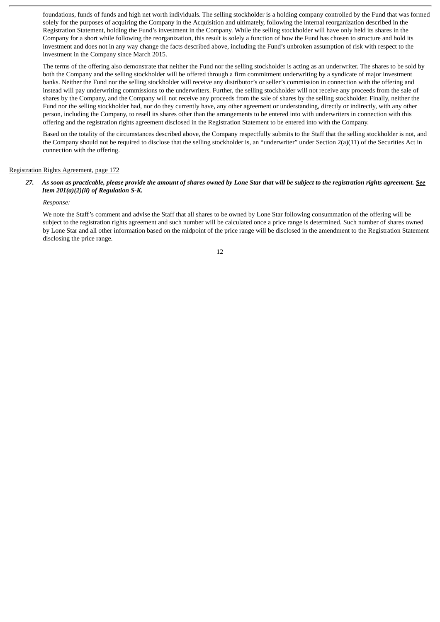foundations, funds of funds and high net worth individuals. The selling stockholder is a holding company controlled by the Fund that was formed solely for the purposes of acquiring the Company in the Acquisition and ultimately, following the internal reorganization described in the Registration Statement, holding the Fund's investment in the Company. While the selling stockholder will have only held its shares in the Company for a short while following the reorganization, this result is solely a function of how the Fund has chosen to structure and hold its investment and does not in any way change the facts described above, including the Fund's unbroken assumption of risk with respect to the investment in the Company since March 2015.

The terms of the offering also demonstrate that neither the Fund nor the selling stockholder is acting as an underwriter. The shares to be sold by both the Company and the selling stockholder will be offered through a firm commitment underwriting by a syndicate of major investment banks. Neither the Fund nor the selling stockholder will receive any distributor's or seller's commission in connection with the offering and instead will pay underwriting commissions to the underwriters. Further, the selling stockholder will not receive any proceeds from the sale of shares by the Company, and the Company will not receive any proceeds from the sale of shares by the selling stockholder. Finally, neither the Fund nor the selling stockholder had, nor do they currently have, any other agreement or understanding, directly or indirectly, with any other person, including the Company, to resell its shares other than the arrangements to be entered into with underwriters in connection with this offering and the registration rights agreement disclosed in the Registration Statement to be entered into with the Company.

Based on the totality of the circumstances described above, the Company respectfully submits to the Staff that the selling stockholder is not, and the Company should not be required to disclose that the selling stockholder is, an "underwriter" under Section 2(a)(11) of the Securities Act in connection with the offering.

#### Registration Rights Agreement, page 172

# 27. As soon as practicable, please provide the amount of shares owned by Lone Star that will be subject to the registration rights agreement. See *Item 201(a)(2)(ii) of Regulation S-K.*

#### *Response:*

We note the Staff's comment and advise the Staff that all shares to be owned by Lone Star following consummation of the offering will be subject to the registration rights agreement and such number will be calculated once a price range is determined. Such number of shares owned by Lone Star and all other information based on the midpoint of the price range will be disclosed in the amendment to the Registration Statement disclosing the price range.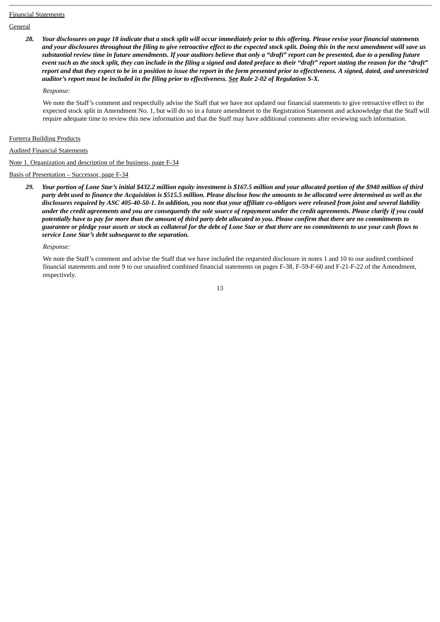#### Financial Statements

**General** 

28. Your disclosures on page 18 indicate that a stock split will occur immediately prior to this offering. Please revise your financial statements and your disclosures throughout the filing to give retroactive effect to the expected stock split. Doing this in the next amendment will save us substantial review time in future amendments. If your auditors believe that only a "draft" report can be presented, due to a pending future event such as the stock split, they can include in the filing a signed and dated preface to their "draft" report stating the reason for the "draft" report and that they expect to be in a position to issue the report in the form presented prior to effectiveness. A signed, dated, and unrestricted *auditor's report must be included in the filing prior to effectiveness. See Rule 2-02 of Regulation S-X.*

#### *Response:*

We note the Staff's comment and respectfully advise the Staff that we have not updated our financial statements to give retroactive effect to the expected stock split in Amendment No. 1, but will do so in a future amendment to the Registration Statement and acknowledge that the Staff will require adequate time to review this new information and that the Staff may have additional comments after reviewing such information.

#### Forterra Building Products

#### Audited Financial Statements

Note 1. Organization and description of the business, page F-34

Basis of Presentation – Successor, page F-34

29. Your portion of Lone Star's initial \$432.2 million equity investment is \$167.5 million and your allocated portion of the \$940 million of third party debt used to finance the Acquisition is \$515.5 million. Please disclose how the amounts to be allocated were determined as well as the disclosures required by ASC 405-40-50-1. In addition, you note that your affiliate co-obligors were released from joint and several liability under the credit agreements and you are consequently the sole source of repayment under the credit agreements. Please clarify if you could potentially have to pay for more than the amount of third party debt allocated to you. Please confirm that there are no commitments to guarantee or pledge your assets or stock as collateral for the debt of Lone Star or that there are no commitments to use your cash flows to *service Lone Star's debt subsequent to the separation.*

### *Response:*

We note the Staff's comment and advise the Staff that we have included the requested disclosure in notes 1 and 10 to our audited combined financial statements and note 9 to our unaudited combined financial statements on pages F-38, F-59-F-60 and F-21-F-22 of the Amendment, respectively.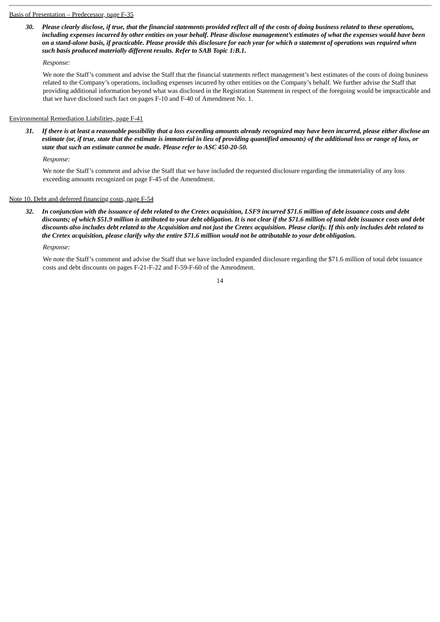#### Basis of Presentation – Predecessor, page F-35

30. Please clearly disclose, if true, that the financial statements provided reflect all of the costs of doing business related to these operations, including expenses incurred by other entities on your behalf. Please disclose management's estimates of what the expenses would have been on a stand-alone basis, if practicable. Please provide this disclosure for each year for which a statement of operations was required when *such basis produced materially different results. Refer to SAB Topic 1:B.1.*

#### *Response:*

We note the Staff's comment and advise the Staff that the financial statements reflect management's best estimates of the costs of doing business related to the Company's operations, including expenses incurred by other entities on the Company's behalf. We further advise the Staff that providing additional information beyond what was disclosed in the Registration Statement in respect of the foregoing would be impracticable and that we have disclosed such fact on pages F-10 and F-40 of Amendment No. 1.

### Environmental Remediation Liabilities, page F-41

31. If there is at least a reasonable possibility that a loss exceeding amounts already recognized may have been incurred, please either disclose an estimate (or, if true, state that the estimate is immaterial in lieu of providing quantified amounts) of the additional loss or range of loss, or *state that such an estimate cannot be made. Please refer to ASC 450-20-50.*

*Response:*

We note the Staff's comment and advise the Staff that we have included the requested disclosure regarding the immateriality of any loss exceeding amounts recognized on page F-45 of the Amendment.

### Note 10. Debt and deferred financing costs, page F-54

32. In conjunction with the issuance of debt related to the Cretex acquisition, LSF9 incurred \$71.6 million of debt issuance costs and debt discounts; of which \$51.9 million is attributed to your debt obligation. It is not clear if the \$71.6 million of total debt issuance costs and debt discounts also includes debt related to the Acquisition and not just the Cretex acquisition. Please clarify. If this only includes debt related to the Cretex acquisition, please clarify why the entire \$71.6 million would not be attributable to your debt obligation.

*Response:*

We note the Staff's comment and advise the Staff that we have included expanded disclosure regarding the \$71.6 million of total debt issuance costs and debt discounts on pages F-21-F-22 and F-59-F-60 of the Amendment.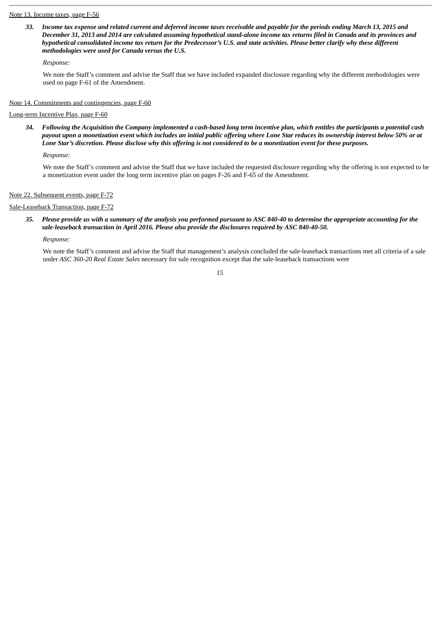#### Note 13. Income taxes, page F-56

33. Income tax expense and related current and deferred income taxes receivable and payable for the periods ending March 13, 2015 and December 31, 2013 and 2014 are calculated assuming hypothetical stand-alone income tax returns filed in Canada and its provinces and hypothetical consolidated income tax return for the Predecessor's U.S. and state activities. Please better clarify why these different *methodologies were used for Canada versus the U.S.*

# *Response:*

We note the Staff's comment and advise the Staff that we have included expanded disclosure regarding why the different methodologies were used on page F-61 of the Amendment.

### Note 14. Commitments and contingencies, page F-60

# Long-term Incentive Plan, page F-60

34. Following the Acquisition the Company implemented a cash-based long term incentive plan, which entitles the participants a potential cash payout upon a monetization event which includes an initial public offering where Lone Star reduces its ownership interest below 50% or at Lone Star's discretion. Please disclose why this offering is not considered to be a monetization event for these purposes.

*Response:*

We note the Staff's comment and advise the Staff that we have included the requested disclosure regarding why the offering is not expected to be a monetization event under the long term incentive plan on pages F-26 and F-65 of the Amendment.

### Note 22. Subsequent events, page F-72

# Sale-Leaseback Transaction, page F-72

# 35. Please provide us with a summary of the analysis you performed pursuant to ASC 840-40 to determine the appropriate accounting for the *sale-leaseback transaction in April 2016. Please also provide the disclosures required by ASC 840-40-50.*

*Response:*

We note the Staff's comment and advise the Staff that management's analysis concluded the sale-leaseback transactions met all criteria of a sale under *ASC 360-20 Real Estate Sales* necessary for sale recognition except that the sale-leaseback transactions were